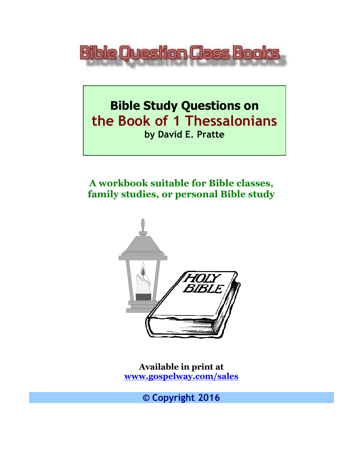

# **Bible Study Questions on the Book of 1 Thessalonians by David E. Pratte**

## **A workbook suitable for Bible classes, family studies, or personal Bible study**



**Available in print at [www.gospelway.com/sales](https://www.gospelway.com/sales)**

**© Copyright 2016**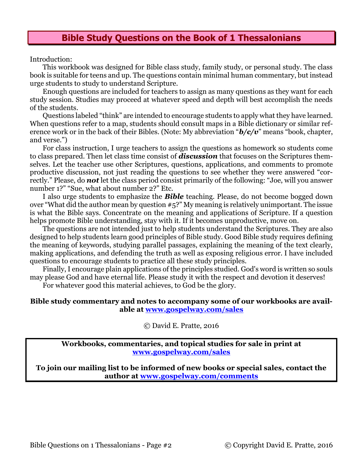#### **Bible Study Questions on the Book of 1 Thessalonians**

Introduction:

This workbook was designed for Bible class study, family study, or personal study. The class book is suitable for teens and up. The questions contain minimal human commentary, but instead urge students to study to understand Scripture.

Enough questions are included for teachers to assign as many questions as they want for each study session. Studies may proceed at whatever speed and depth will best accomplish the needs of the students.

Questions labeled "think" are intended to encourage students to apply what they have learned. When questions refer to a map, students should consult maps in a Bible dictionary or similar reference work or in the back of their Bibles. (Note: My abbreviation "*b/c/v*" means "book, chapter, and verse.")

For class instruction, I urge teachers to assign the questions as homework so students come to class prepared. Then let class time consist of *discussion* that focuses on the Scriptures themselves. Let the teacher use other Scriptures, questions, applications, and comments to promote productive discussion, not just reading the questions to see whether they were answered "correctly." Please, do *not* let the class period consist primarily of the following: "Joe, will you answer number 1?" "Sue, what about number 2?" Etc.

I also urge students to emphasize the *Bible* teaching. Please, do not become bogged down over "What did the author mean by question #5?" My meaning is relatively unimportant. The issue is what the Bible says. Concentrate on the meaning and applications of Scripture. If a question helps promote Bible understanding, stay with it. If it becomes unproductive, move on.

The questions are not intended just to help students understand the Scriptures. They are also designed to help students learn good principles of Bible study. Good Bible study requires defining the meaning of keywords, studying parallel passages, explaining the meaning of the text clearly, making applications, and defending the truth as well as exposing religious error. I have included questions to encourage students to practice all these study principles.

Finally, I encourage plain applications of the principles studied. God's word is written so souls may please God and have eternal life. Please study it with the respect and devotion it deserves!

For whatever good this material achieves, to God be the glory.

#### **Bible study commentary and notes to accompany some of our workbooks are available at [www.gospelway.com/sales](https://www.gospelway.com/sales)**

© David E. Pratte, 2016

**Workbooks, commentaries, and topical studies for sale in print at [www.gospelway.com/sales](https://www.gospelway.com/sales)**

**To join our mailing list to be informed of new books or special sales, contact the author at [www.gospelway.com/comments](http://www.gospelway.com/comments)**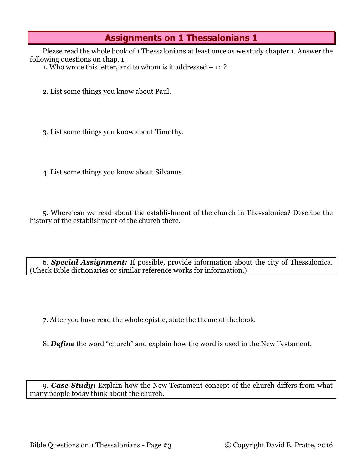Please read the whole book of 1 Thessalonians at least once as we study chapter 1. Answer the following questions on chap. 1.

1. Who wrote this letter, and to whom is it addressed – 1:1?

2. List some things you know about Paul.

3. List some things you know about Timothy.

4. List some things you know about Silvanus.

5. Where can we read about the establishment of the church in Thessalonica? Describe the history of the establishment of the church there.

6. *Special Assignment:* If possible, provide information about the city of Thessalonica. (Check Bible dictionaries or similar reference works for information.)

7. After you have read the whole epistle, state the theme of the book.

8. *Define* the word "church" and explain how the word is used in the New Testament.

9. *Case Study:* Explain how the New Testament concept of the church differs from what many people today think about the church.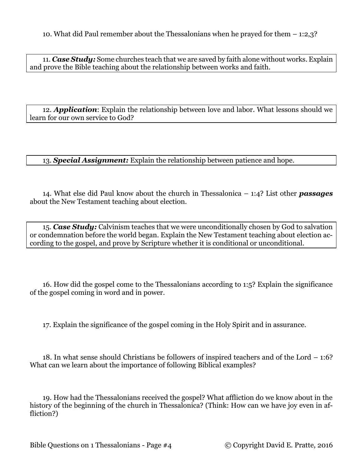10. What did Paul remember about the Thessalonians when he prayed for them – 1:2,3?

11. *Case Study:* Some churches teach that we are saved by faith alone without works. Explain and prove the Bible teaching about the relationship between works and faith.

12. *Application*: Explain the relationship between love and labor. What lessons should we learn for our own service to God?

13. *Special Assignment:* Explain the relationship between patience and hope.

14. What else did Paul know about the church in Thessalonica – 1:4? List other *passages* about the New Testament teaching about election.

15. *Case Study:* Calvinism teaches that we were unconditionally chosen by God to salvation or condemnation before the world began. Explain the New Testament teaching about election according to the gospel, and prove by Scripture whether it is conditional or unconditional.

16. How did the gospel come to the Thessalonians according to 1:5? Explain the significance of the gospel coming in word and in power.

17. Explain the significance of the gospel coming in the Holy Spirit and in assurance.

18. In what sense should Christians be followers of inspired teachers and of the Lord – 1:6? What can we learn about the importance of following Biblical examples?

19. How had the Thessalonians received the gospel? What affliction do we know about in the history of the beginning of the church in Thessalonica? (Think: How can we have joy even in affliction?)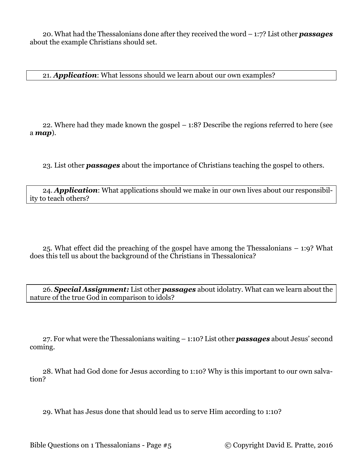20. What had the Thessalonians done after they received the word – 1:7? List other *passages* about the example Christians should set.

21. *Application*: What lessons should we learn about our own examples?

22. Where had they made known the gospel – 1:8? Describe the regions referred to here (see a *map*).

23. List other *passages* about the importance of Christians teaching the gospel to others.

24. *Application*: What applications should we make in our own lives about our responsibility to teach others?

25. What effect did the preaching of the gospel have among the Thessalonians – 1:9? What does this tell us about the background of the Christians in Thessalonica?

26. *Special Assignment:* List other *passages* about idolatry. What can we learn about the nature of the true God in comparison to idols?

27. For what were the Thessalonians waiting – 1:10? List other *passages* about Jesus' second coming.

28. What had God done for Jesus according to 1:10? Why is this important to our own salvation?

29. What has Jesus done that should lead us to serve Him according to 1:10?

Bible Questions on 1 Thessalonians - Page #5 © Copyright David E. Pratte, 2016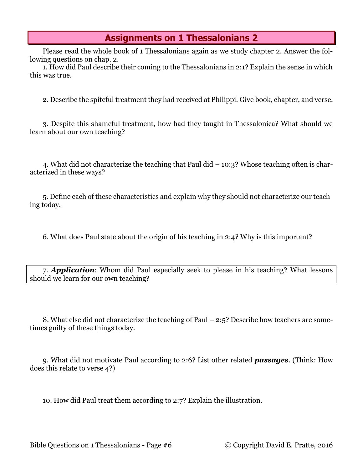Please read the whole book of 1 Thessalonians again as we study chapter 2. Answer the following questions on chap. 2.

1. How did Paul describe their coming to the Thessalonians in 2:1? Explain the sense in which this was true.

2. Describe the spiteful treatment they had received at Philippi. Give book, chapter, and verse.

3. Despite this shameful treatment, how had they taught in Thessalonica? What should we learn about our own teaching?

4. What did not characterize the teaching that Paul did – 10:3? Whose teaching often is characterized in these ways?

5. Define each of these characteristics and explain why they should not characterize our teaching today.

6. What does Paul state about the origin of his teaching in 2:4? Why is this important?

7. *Application*: Whom did Paul especially seek to please in his teaching? What lessons should we learn for our own teaching?

8. What else did not characterize the teaching of Paul – 2:5? Describe how teachers are sometimes guilty of these things today.

9. What did not motivate Paul according to 2:6? List other related *passages*. (Think: How does this relate to verse 4?)

10. How did Paul treat them according to 2:7? Explain the illustration.

Bible Questions on 1 Thessalonians - Page #6 © Copyright David E. Pratte, 2016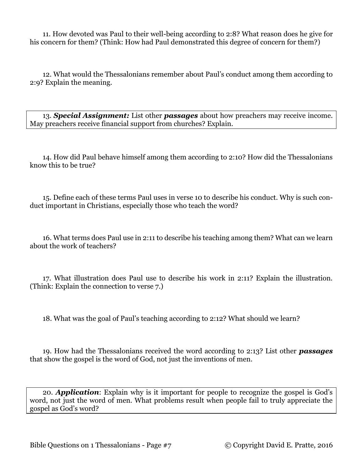11. How devoted was Paul to their well-being according to 2:8? What reason does he give for his concern for them? (Think: How had Paul demonstrated this degree of concern for them?)

12. What would the Thessalonians remember about Paul's conduct among them according to 2:9? Explain the meaning.

13. *Special Assignment:* List other *passages* about how preachers may receive income. May preachers receive financial support from churches? Explain.

14. How did Paul behave himself among them according to 2:10? How did the Thessalonians know this to be true?

15. Define each of these terms Paul uses in verse 10 to describe his conduct. Why is such conduct important in Christians, especially those who teach the word?

16. What terms does Paul use in 2:11 to describe his teaching among them? What can we learn about the work of teachers?

17. What illustration does Paul use to describe his work in 2:11? Explain the illustration. (Think: Explain the connection to verse 7.)

18. What was the goal of Paul's teaching according to 2:12? What should we learn?

19. How had the Thessalonians received the word according to 2:13? List other *passages* that show the gospel is the word of God, not just the inventions of men.

20. *Application*: Explain why is it important for people to recognize the gospel is God's word, not just the word of men. What problems result when people fail to truly appreciate the gospel as God's word?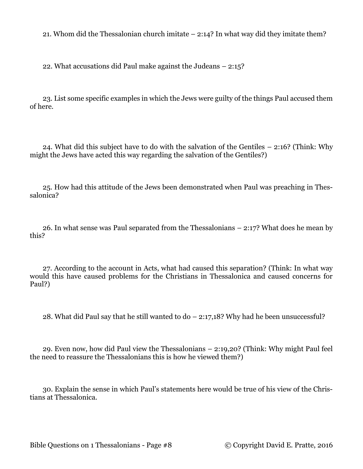21. Whom did the Thessalonian church imitate – 2:14? In what way did they imitate them?

22. What accusations did Paul make against the Judeans – 2:15?

23. List some specific examples in which the Jews were guilty of the things Paul accused them of here.

24. What did this subject have to do with the salvation of the Gentiles – 2:16? (Think: Why might the Jews have acted this way regarding the salvation of the Gentiles?)

25. How had this attitude of the Jews been demonstrated when Paul was preaching in Thessalonica?

26. In what sense was Paul separated from the Thessalonians – 2:17? What does he mean by this?

27. According to the account in Acts, what had caused this separation? (Think: In what way would this have caused problems for the Christians in Thessalonica and caused concerns for Paul?)

28. What did Paul say that he still wanted to do – 2:17,18? Why had he been unsuccessful?

29. Even now, how did Paul view the Thessalonians – 2:19,20? (Think: Why might Paul feel the need to reassure the Thessalonians this is how he viewed them?)

30. Explain the sense in which Paul's statements here would be true of his view of the Christians at Thessalonica.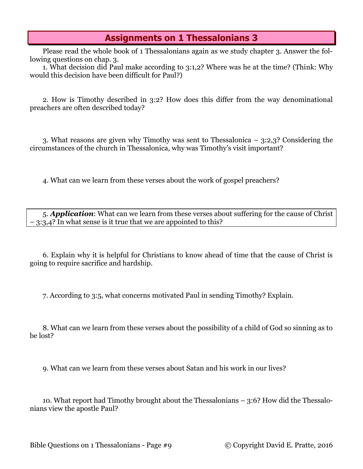Please read the whole book of 1 Thessalonians again as we study chapter 3. Answer the following questions on chap. 3.

1. What decision did Paul make according to 3:1,2? Where was he at the time? (Think: Why would this decision have been difficult for Paul?)

2. How is Timothy described in 3:2? How does this differ from the way denominational preachers are often described today?

3. What reasons are given why Timothy was sent to Thessalonica – 3:2,3? Considering the circumstances of the church in Thessalonica, why was Timothy's visit important?

4. What can we learn from these verses about the work of gospel preachers?

5. *Application*: What can we learn from these verses about suffering for the cause of Christ – 3:3,4? In what sense is it true that we are appointed to this?

6. Explain why it is helpful for Christians to know ahead of time that the cause of Christ is going to require sacrifice and hardship.

7. According to 3:5, what concerns motivated Paul in sending Timothy? Explain.

8. What can we learn from these verses about the possibility of a child of God so sinning as to be lost?

9. What can we learn from these verses about Satan and his work in our lives?

10. What report had Timothy brought about the Thessalonians – 3:6? How did the Thessalonians view the apostle Paul?

Bible Questions on 1 Thessalonians - Page #9 © Copyright David E. Pratte, 2016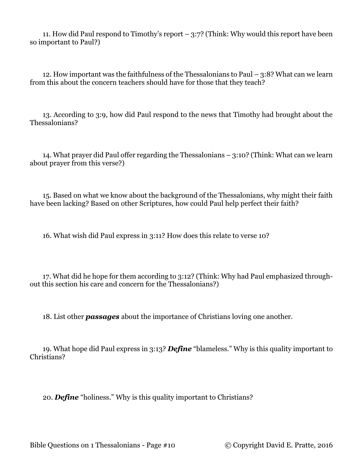11. How did Paul respond to Timothy's report – 3:7? (Think: Why would this report have been so important to Paul?)

12. How important was the faithfulness of the Thessalonians to Paul – 3:8? What can we learn from this about the concern teachers should have for those that they teach?

13. According to 3:9, how did Paul respond to the news that Timothy had brought about the Thessalonians?

14. What prayer did Paul offer regarding the Thessalonians – 3:10? (Think: What can we learn about prayer from this verse?)

15. Based on what we know about the background of the Thessalonians, why might their faith have been lacking? Based on other Scriptures, how could Paul help perfect their faith?

16. What wish did Paul express in 3:11? How does this relate to verse 10?

17. What did he hope for them according to 3:12? (Think: Why had Paul emphasized throughout this section his care and concern for the Thessalonians?)

18. List other *passages* about the importance of Christians loving one another.

19. What hope did Paul express in 3:13? *Define* "blameless." Why is this quality important to Christians?

20. *Define* "holiness." Why is this quality important to Christians?

Bible Questions on 1 Thessalonians - Page #10 © Copyright David E. Pratte, 2016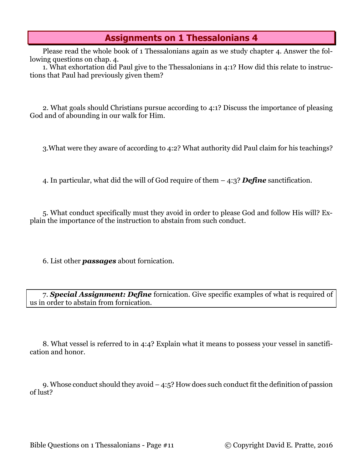Please read the whole book of 1 Thessalonians again as we study chapter 4. Answer the following questions on chap. 4.

1. What exhortation did Paul give to the Thessalonians in 4:1? How did this relate to instructions that Paul had previously given them?

2. What goals should Christians pursue according to 4:1? Discuss the importance of pleasing God and of abounding in our walk for Him.

3.What were they aware of according to 4:2? What authority did Paul claim for his teachings?

4. In particular, what did the will of God require of them – 4:3? *Define* sanctification.

5. What conduct specifically must they avoid in order to please God and follow His will? Explain the importance of the instruction to abstain from such conduct.

6. List other *passages* about fornication.

7. *Special Assignment: Define* fornication. Give specific examples of what is required of us in order to abstain from fornication.

8. What vessel is referred to in 4:4? Explain what it means to possess your vessel in sanctification and honor.

9. Whose conduct should they avoid – 4:5? How does such conduct fit the definition of passion of lust?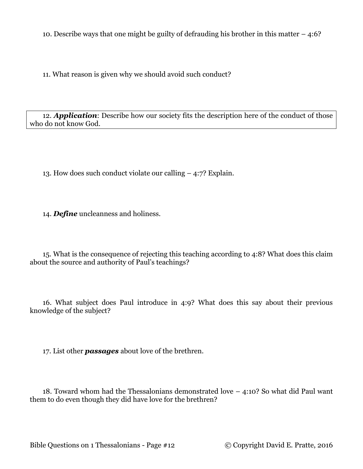10. Describe ways that one might be guilty of defrauding his brother in this matter – 4:6?

11. What reason is given why we should avoid such conduct?

12. *Application*: Describe how our society fits the description here of the conduct of those who do not know God.

13. How does such conduct violate our calling – 4:7? Explain.

14. *Define* uncleanness and holiness.

15. What is the consequence of rejecting this teaching according to 4:8? What does this claim about the source and authority of Paul's teachings?

16. What subject does Paul introduce in 4:9? What does this say about their previous knowledge of the subject?

17. List other *passages* about love of the brethren.

18. Toward whom had the Thessalonians demonstrated love – 4:10? So what did Paul want them to do even though they did have love for the brethren?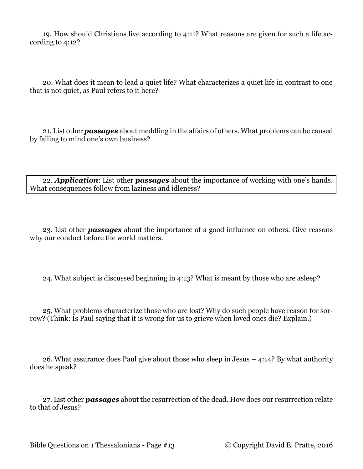19. How should Christians live according to 4:11? What reasons are given for such a life according to 4:12?

20. What does it mean to lead a quiet life? What characterizes a quiet life in contrast to one that is not quiet, as Paul refers to it here?

21. List other *passages* about meddling in the affairs of others. What problems can be caused by failing to mind one's own business?

22. *Application*: List other *passages* about the importance of working with one's hands. What consequences follow from laziness and idleness?

23. List other *passages* about the importance of a good influence on others. Give reasons why our conduct before the world matters.

24. What subject is discussed beginning in 4:13? What is meant by those who are asleep?

25. What problems characterize those who are lost? Why do such people have reason for sorrow? (Think: Is Paul saying that it is wrong for us to grieve when loved ones die? Explain.)

26. What assurance does Paul give about those who sleep in Jesus – 4:14? By what authority does he speak?

27. List other *passages* about the resurrection of the dead. How does our resurrection relate to that of Jesus?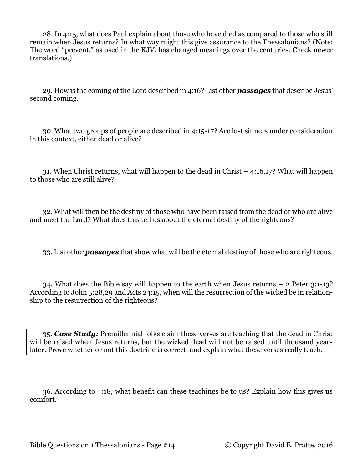28. In 4:15, what does Paul explain about those who have died as compared to those who still remain when Jesus returns? In what way might this give assurance to the Thessalonians? (Note: The word "prevent," as used in the KJV, has changed meanings over the centuries. Check newer translations.)

29. How is the coming of the Lord described in 4:16? List other *passages* that describe Jesus' second coming.

30. What two groups of people are described in 4:15-17? Are lost sinners under consideration in this context, either dead or alive?

31. When Christ returns, what will happen to the dead in Christ – 4:16,17? What will happen to those who are still alive?

32. What will then be the destiny of those who have been raised from the dead or who are alive and meet the Lord? What does this tell us about the eternal destiny of the righteous?

33. List other *passages* that show what will be the eternal destiny of those who are righteous.

34. What does the Bible say will happen to the earth when Jesus returns – 2 Peter 3:1-13? According to John 5:28,29 and Acts 24:15, when will the resurrection of the wicked be in relationship to the resurrection of the righteous?

35. *Case Study:* Premillennial folks claim these verses are teaching that the dead in Christ will be raised when Jesus returns, but the wicked dead will not be raised until thousand years later. Prove whether or not this doctrine is correct, and explain what these verses really teach.

36. According to 4:18, what benefit can these teachings be to us? Explain how this gives us comfort.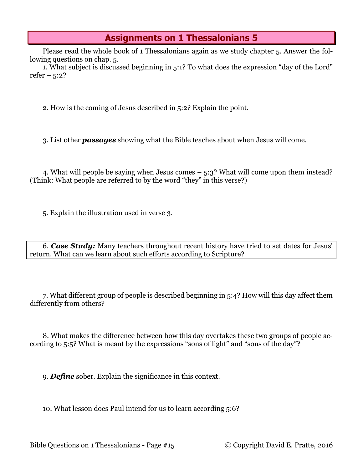Please read the whole book of 1 Thessalonians again as we study chapter 5. Answer the following questions on chap. 5.

1. What subject is discussed beginning in 5:1? To what does the expression "day of the Lord" refer –  $5:2?$ 

2. How is the coming of Jesus described in 5:2? Explain the point.

3. List other *passages* showing what the Bible teaches about when Jesus will come.

4. What will people be saying when Jesus comes – 5:3? What will come upon them instead? (Think: What people are referred to by the word "they" in this verse?)

5. Explain the illustration used in verse 3.

6. *Case Study:* Many teachers throughout recent history have tried to set dates for Jesus' return. What can we learn about such efforts according to Scripture?

7. What different group of people is described beginning in 5:4? How will this day affect them differently from others?

8. What makes the difference between how this day overtakes these two groups of people according to 5:5? What is meant by the expressions "sons of light" and "sons of the day"?

9. *Define* sober. Explain the significance in this context.

10. What lesson does Paul intend for us to learn according 5:6?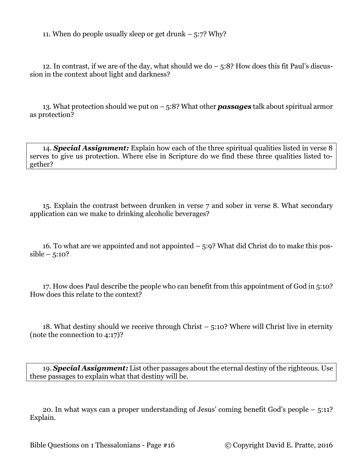11. When do people usually sleep or get drunk  $-5:7$ ? Why?

12. In contrast, if we are of the day, what should we do – 5:8? How does this fit Paul's discussion in the context about light and darkness?

13. What protection should we put on – 5:8? What other *passages* talk about spiritual armor as protection?

14. *Special Assignment:* Explain how each of the three spiritual qualities listed in verse 8 serves to give us protection. Where else in Scripture do we find these three qualities listed together?

15. Explain the contrast between drunken in verse 7 and sober in verse 8. What secondary application can we make to drinking alcoholic beverages?

16. To what are we appointed and not appointed – 5:9? What did Christ do to make this pos $sible - 5:10?$ 

17. How does Paul describe the people who can benefit from this appointment of God in 5:10? How does this relate to the context?

18. What destiny should we receive through Christ – 5:10? Where will Christ live in eternity (note the connection to 4:17)?

19. *Special Assignment:* List other passages about the eternal destiny of the righteous. Use these passages to explain what that destiny will be.

20. In what ways can a proper understanding of Jesus' coming benefit God's people – 5:11? Explain.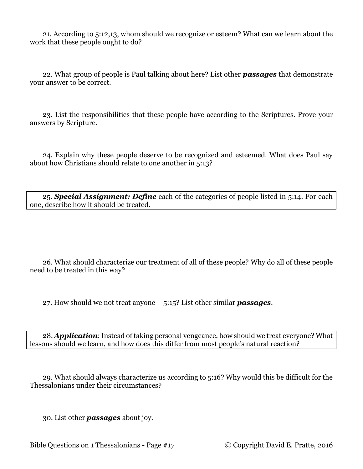21. According to 5:12,13, whom should we recognize or esteem? What can we learn about the work that these people ought to do?

22. What group of people is Paul talking about here? List other *passages* that demonstrate your answer to be correct.

23. List the responsibilities that these people have according to the Scriptures. Prove your answers by Scripture.

24. Explain why these people deserve to be recognized and esteemed. What does Paul say about how Christians should relate to one another in 5:13?

25. *Special Assignment: Define* each of the categories of people listed in 5:14. For each one, describe how it should be treated.

26. What should characterize our treatment of all of these people? Why do all of these people need to be treated in this way?

27. How should we not treat anyone – 5:15? List other similar *passages*.

28. *Application*: Instead of taking personal vengeance, how should we treat everyone? What lessons should we learn, and how does this differ from most people's natural reaction?

29. What should always characterize us according to 5:16? Why would this be difficult for the Thessalonians under their circumstances?

30. List other *passages* about joy.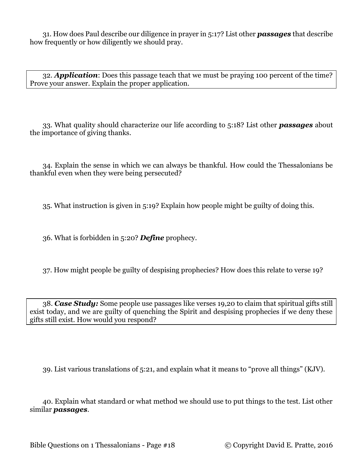31. How does Paul describe our diligence in prayer in 5:17? List other *passages* that describe how frequently or how diligently we should pray.

32. *Application*: Does this passage teach that we must be praying 100 percent of the time? Prove your answer. Explain the proper application.

33. What quality should characterize our life according to 5:18? List other *passages* about the importance of giving thanks.

34. Explain the sense in which we can always be thankful. How could the Thessalonians be thankful even when they were being persecuted?

35. What instruction is given in 5:19? Explain how people might be guilty of doing this.

36. What is forbidden in 5:20? *Define* prophecy.

37. How might people be guilty of despising prophecies? How does this relate to verse 19?

38. *Case Study:* Some people use passages like verses 19,20 to claim that spiritual gifts still exist today, and we are guilty of quenching the Spirit and despising prophecies if we deny these gifts still exist. How would you respond?

39. List various translations of 5:21, and explain what it means to "prove all things" (KJV).

40. Explain what standard or what method we should use to put things to the test. List other similar *passages*.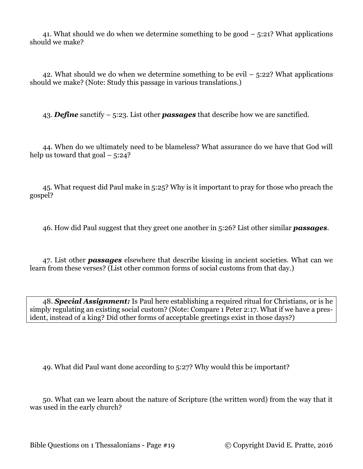41. What should we do when we determine something to be good – 5:21? What applications should we make?

42. What should we do when we determine something to be evil  $-5:22$ ? What applications should we make? (Note: Study this passage in various translations.)

43. *Define* sanctify – 5:23. List other *passages* that describe how we are sanctified.

44. When do we ultimately need to be blameless? What assurance do we have that God will help us toward that  $\text{goal} - 5:24?$ 

45. What request did Paul make in 5:25? Why is it important to pray for those who preach the gospel?

46. How did Paul suggest that they greet one another in 5:26? List other similar *passages*.

47. List other *passages* elsewhere that describe kissing in ancient societies. What can we learn from these verses? (List other common forms of social customs from that day.)

48. *Special Assignment:* Is Paul here establishing a required ritual for Christians, or is he simply regulating an existing social custom? (Note: Compare 1 Peter 2:17. What if we have a president, instead of a king? Did other forms of acceptable greetings exist in those days?)

49. What did Paul want done according to 5:27? Why would this be important?

50. What can we learn about the nature of Scripture (the written word) from the way that it was used in the early church?

Bible Questions on 1 Thessalonians - Page #19 © Copyright David E. Pratte, 2016